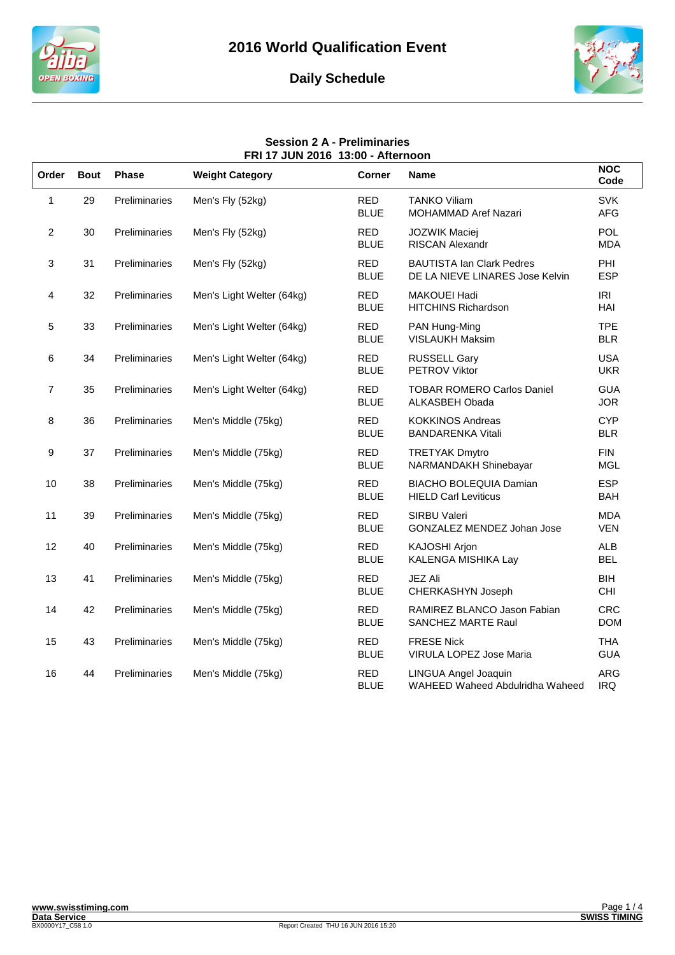





#### **Session 2 A - Preliminaries FRI 17 JUN 2016 13:00 - Afternoon**

| Order          | <b>Bout</b> | <b>Phase</b>         | <b>Weight Category</b>    | <b>Corner</b>             | <b>Name</b>                                                         | <b>NOC</b><br>Code       |
|----------------|-------------|----------------------|---------------------------|---------------------------|---------------------------------------------------------------------|--------------------------|
| 1              | 29          | Preliminaries        | Men's Fly (52kg)          | <b>RED</b><br><b>BLUE</b> | <b>TANKO Viliam</b><br>MOHAMMAD Aref Nazari                         | <b>SVK</b><br><b>AFG</b> |
| $\overline{2}$ | 30          | Preliminaries        | Men's Fly (52kg)          | <b>RED</b><br><b>BLUE</b> | <b>JOZWIK Maciej</b><br><b>RISCAN Alexandr</b>                      | <b>POL</b><br><b>MDA</b> |
| 3              | 31          | Preliminaries        | Men's Fly (52kg)          | <b>RED</b><br><b>BLUE</b> | <b>BAUTISTA Ian Clark Pedres</b><br>DE LA NIEVE LINARES Jose Kelvin | PHI<br><b>ESP</b>        |
| 4              | 32          | Preliminaries        | Men's Light Welter (64kg) | <b>RED</b><br><b>BLUE</b> | <b>MAKOUEI Hadi</b><br><b>HITCHINS Richardson</b>                   | IRI<br>HAI               |
| 5              | 33          | Preliminaries        | Men's Light Welter (64kg) | <b>RED</b><br><b>BLUE</b> | PAN Hung-Ming<br><b>VISLAUKH Maksim</b>                             | <b>TPE</b><br><b>BLR</b> |
| 6              | 34          | Preliminaries        | Men's Light Welter (64kg) | <b>RED</b><br><b>BLUE</b> | <b>RUSSELL Gary</b><br><b>PETROV Viktor</b>                         | <b>USA</b><br><b>UKR</b> |
| $\overline{7}$ | 35          | Preliminaries        | Men's Light Welter (64kg) | <b>RED</b><br><b>BLUE</b> | <b>TOBAR ROMERO Carlos Daniel</b><br>ALKASBEH Obada                 | <b>GUA</b><br><b>JOR</b> |
| 8              | 36          | Preliminaries        | Men's Middle (75kg)       | <b>RED</b><br><b>BLUE</b> | <b>KOKKINOS Andreas</b><br><b>BANDARENKA Vitali</b>                 | <b>CYP</b><br><b>BLR</b> |
| 9              | 37          | Preliminaries        | Men's Middle (75kg)       | <b>RED</b><br><b>BLUE</b> | <b>TRETYAK Dmytro</b><br>NARMANDAKH Shinebayar                      | <b>FIN</b><br><b>MGL</b> |
| 10             | 38          | Preliminaries        | Men's Middle (75kg)       | <b>RED</b><br><b>BLUE</b> | <b>BIACHO BOLEQUIA Damian</b><br><b>HIELD Carl Leviticus</b>        | <b>ESP</b><br><b>BAH</b> |
| 11             | 39          | Preliminaries        | Men's Middle (75kg)       | <b>RED</b><br><b>BLUE</b> | <b>SIRBU Valeri</b><br>GONZALEZ MENDEZ Johan Jose                   | <b>MDA</b><br><b>VEN</b> |
| 12             | 40          | Preliminaries        | Men's Middle (75kg)       | <b>RED</b><br><b>BLUE</b> | KAJOSHI Arjon<br>KALENGA MISHIKA Lay                                | <b>ALB</b><br><b>BEL</b> |
| 13             | 41          | Preliminaries        | Men's Middle (75kg)       | <b>RED</b><br><b>BLUE</b> | JEZ Ali<br>CHERKASHYN Joseph                                        | <b>BIH</b><br><b>CHI</b> |
| 14             | 42          | Preliminaries        | Men's Middle (75kg)       | <b>RED</b><br><b>BLUE</b> | RAMIREZ BLANCO Jason Fabian<br>SANCHEZ MARTE Raul                   | <b>CRC</b><br><b>DOM</b> |
| 15             | 43          | <b>Preliminaries</b> | Men's Middle (75kg)       | <b>RED</b><br><b>BLUE</b> | <b>FRESE Nick</b><br>VIRULA LOPEZ Jose Maria                        | <b>THA</b><br><b>GUA</b> |
| 16             | 44          | Preliminaries        | Men's Middle (75kg)       | RED<br><b>BLUE</b>        | LINGUA Angel Joaquin<br>WAHEED Waheed Abdulridha Waheed             | <b>ARG</b><br><b>IRQ</b> |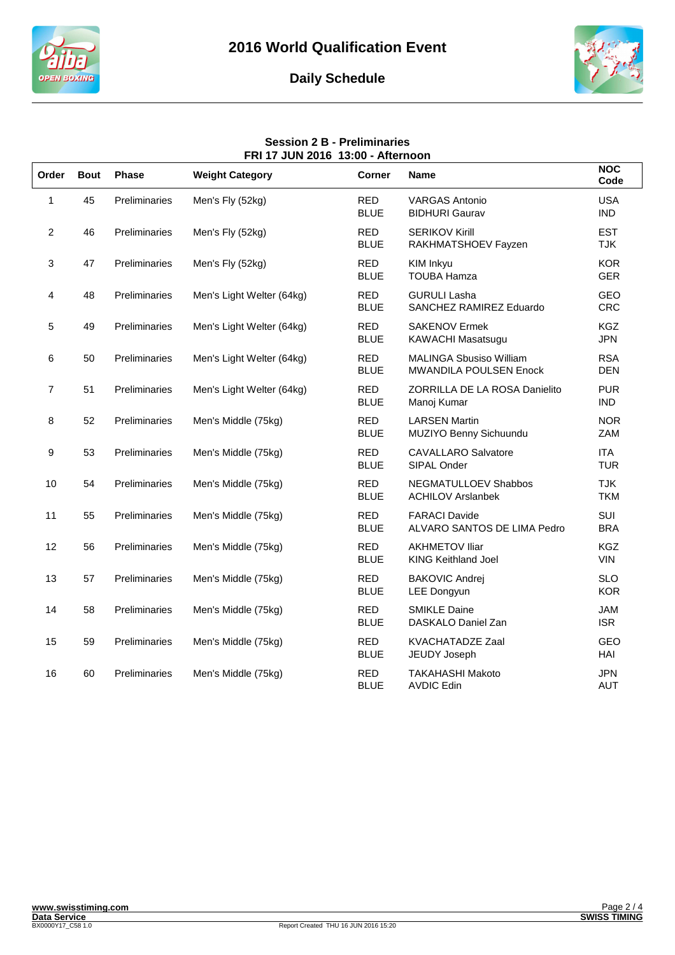

# **Daily Schedule**



### **Session 2 B - Preliminaries FRI 17 JUN 2016 13:00 - Afternoon**

| Order          | <b>Bout</b> | <b>Phase</b>  | <b>Weight Category</b>    | <b>Corner</b>             | <b>Name</b>                                                     | <b>NOC</b><br>Code       |
|----------------|-------------|---------------|---------------------------|---------------------------|-----------------------------------------------------------------|--------------------------|
| 1              | 45          | Preliminaries | Men's Fly (52kg)          | <b>RED</b><br><b>BLUE</b> | <b>VARGAS Antonio</b><br><b>BIDHURI Gaurav</b>                  | <b>USA</b><br><b>IND</b> |
| $\overline{2}$ | 46          | Preliminaries | Men's Fly (52kg)          | <b>RED</b><br><b>BLUE</b> | <b>SERIKOV Kirill</b><br>RAKHMATSHOEV Fayzen                    | <b>EST</b><br><b>TJK</b> |
| 3              | 47          | Preliminaries | Men's Fly (52kg)          | <b>RED</b><br><b>BLUE</b> | KIM Inkyu<br><b>TOUBA Hamza</b>                                 | <b>KOR</b><br><b>GER</b> |
| 4              | 48          | Preliminaries | Men's Light Welter (64kg) | <b>RED</b><br><b>BLUE</b> | <b>GURULI Lasha</b><br>SANCHEZ RAMIREZ Eduardo                  | <b>GEO</b><br><b>CRC</b> |
| 5              | 49          | Preliminaries | Men's Light Welter (64kg) | <b>RED</b><br><b>BLUE</b> | <b>SAKENOV Ermek</b><br>KAWACHI Masatsugu                       | <b>KGZ</b><br><b>JPN</b> |
| 6              | 50          | Preliminaries | Men's Light Welter (64kg) | <b>RED</b><br><b>BLUE</b> | <b>MALINGA Sbusiso William</b><br><b>MWANDILA POULSEN Enock</b> | <b>RSA</b><br><b>DEN</b> |
| $\overline{7}$ | 51          | Preliminaries | Men's Light Welter (64kg) | <b>RED</b><br><b>BLUE</b> | ZORRILLA DE LA ROSA Danielito<br>Manoj Kumar                    | <b>PUR</b><br><b>IND</b> |
| 8              | 52          | Preliminaries | Men's Middle (75kg)       | <b>RED</b><br><b>BLUE</b> | <b>LARSEN Martin</b><br>MUZIYO Benny Sichuundu                  | <b>NOR</b><br>ZAM        |
| 9              | 53          | Preliminaries | Men's Middle (75kg)       | <b>RED</b><br><b>BLUE</b> | <b>CAVALLARO Salvatore</b><br>SIPAL Onder                       | <b>ITA</b><br><b>TUR</b> |
| 10             | 54          | Preliminaries | Men's Middle (75kg)       | <b>RED</b><br><b>BLUE</b> | NEGMATULLOEV Shabbos<br><b>ACHILOV Arslanbek</b>                | <b>TJK</b><br><b>TKM</b> |
| 11             | 55          | Preliminaries | Men's Middle (75kg)       | <b>RED</b><br><b>BLUE</b> | <b>FARACI Davide</b><br>ALVARO SANTOS DE LIMA Pedro             | SUI<br><b>BRA</b>        |
| 12             | 56          | Preliminaries | Men's Middle (75kg)       | <b>RED</b><br><b>BLUE</b> | <b>AKHMETOV Iliar</b><br><b>KING Keithland Joel</b>             | <b>KGZ</b><br><b>VIN</b> |
| 13             | 57          | Preliminaries | Men's Middle (75kg)       | <b>RED</b><br><b>BLUE</b> | <b>BAKOVIC Andrej</b><br><b>LEE Dongyun</b>                     | <b>SLO</b><br><b>KOR</b> |
| 14             | 58          | Preliminaries | Men's Middle (75kg)       | <b>RED</b><br><b>BLUE</b> | <b>SMIKLE Daine</b><br>DASKALO Daniel Zan                       | JAM<br><b>ISR</b>        |
| 15             | 59          | Preliminaries | Men's Middle (75kg)       | <b>RED</b><br><b>BLUE</b> | KVACHATADZE Zaal<br>JEUDY Joseph                                | GEO<br>HAI               |
| 16             | 60          | Preliminaries | Men's Middle (75kg)       | <b>RED</b><br><b>BLUE</b> | <b>TAKAHASHI Makoto</b><br><b>AVDIC Edin</b>                    | <b>JPN</b><br><b>AUT</b> |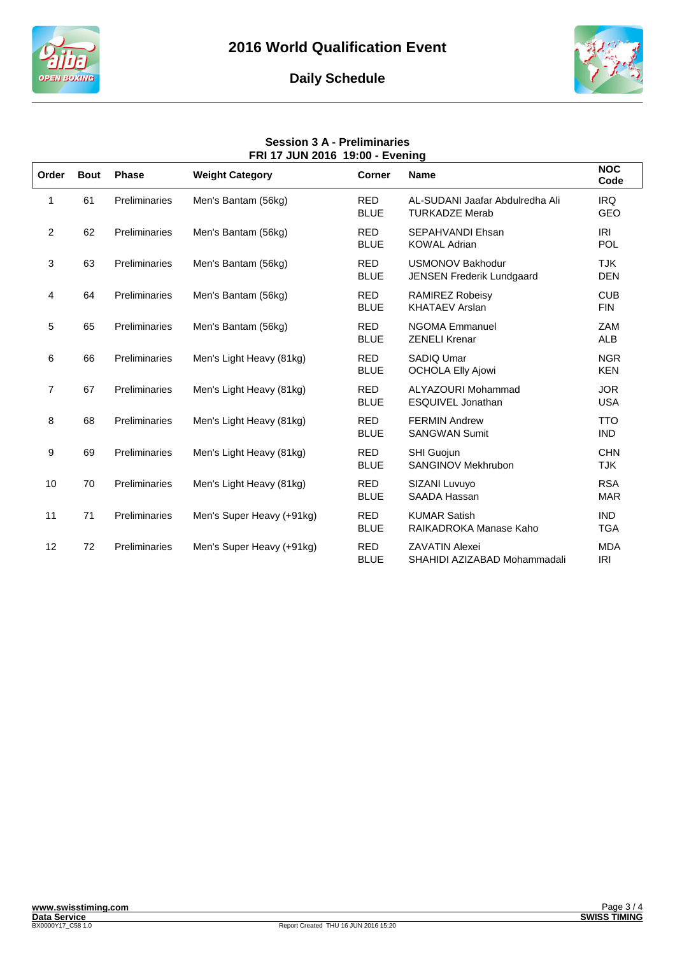





## **Session 3 A - Preliminaries FRI 17 JUN 2016 19:00 - Evening**

| Order          | <b>Bout</b> | <b>Phase</b>         | <b>Weight Category</b>    | <b>Corner</b>             | <b>Name</b>                                                 | <b>NOC</b><br>Code       |
|----------------|-------------|----------------------|---------------------------|---------------------------|-------------------------------------------------------------|--------------------------|
| 1              | 61          | Preliminaries        | Men's Bantam (56kg)       | <b>RED</b><br><b>BLUE</b> | AL-SUDANI Jaafar Abdulredha Ali<br><b>TURKADZE Merab</b>    | <b>IRQ</b><br>GEO        |
| $\overline{2}$ | 62          | Preliminaries        | Men's Bantam (56kg)       | <b>RED</b><br><b>BLUE</b> | <b>SEPAHVANDI Ehsan</b><br><b>KOWAL Adrian</b>              | <b>IRI</b><br><b>POL</b> |
| 3              | 63          | Preliminaries        | Men's Bantam (56kg)       | <b>RED</b><br><b>BLUE</b> | <b>USMONOV Bakhodur</b><br><b>JENSEN Frederik Lundgaard</b> | <b>TJK</b><br><b>DEN</b> |
| 4              | 64          | Preliminaries        | Men's Bantam (56kg)       | <b>RED</b><br><b>BLUE</b> | <b>RAMIREZ Robeisy</b><br><b>KHATAEV Arslan</b>             | <b>CUB</b><br><b>FIN</b> |
| 5              | 65          | Preliminaries        | Men's Bantam (56kg)       | <b>RED</b><br><b>BLUE</b> | <b>NGOMA Emmanuel</b><br><b>ZENELI Krenar</b>               | ZAM<br>ALB               |
| 6              | 66          | Preliminaries        | Men's Light Heavy (81kg)  | <b>RED</b><br><b>BLUE</b> | SADIQ Umar<br><b>OCHOLA Elly Ajowi</b>                      | <b>NGR</b><br><b>KEN</b> |
| $\overline{7}$ | 67          | Preliminaries        | Men's Light Heavy (81kg)  | <b>RED</b><br><b>BLUE</b> | ALYAZOURI Mohammad<br>ESQUIVEL Jonathan                     | <b>JOR</b><br><b>USA</b> |
| 8              | 68          | <b>Preliminaries</b> | Men's Light Heavy (81kg)  | <b>RED</b><br><b>BLUE</b> | <b>FERMIN Andrew</b><br><b>SANGWAN Sumit</b>                | <b>TTO</b><br><b>IND</b> |
| 9              | 69          | Preliminaries        | Men's Light Heavy (81kg)  | <b>RED</b><br><b>BLUE</b> | <b>SHI Guojun</b><br>SANGINOV Mekhrubon                     | <b>CHN</b><br><b>TJK</b> |
| 10             | 70          | Preliminaries        | Men's Light Heavy (81kg)  | <b>RED</b><br><b>BLUE</b> | SIZANI Luvuyo<br><b>SAADA Hassan</b>                        | <b>RSA</b><br><b>MAR</b> |
| 11             | 71          | Preliminaries        | Men's Super Heavy (+91kg) | <b>RED</b><br><b>BLUE</b> | <b>KUMAR Satish</b><br>RAIKADROKA Manase Kaho               | <b>IND</b><br><b>TGA</b> |
| 12             | 72          | Preliminaries        | Men's Super Heavy (+91kg) | <b>RED</b><br><b>BLUE</b> | <b>ZAVATIN Alexei</b><br>SHAHIDI AZIZABAD Mohammadali       | <b>MDA</b><br><b>IRI</b> |